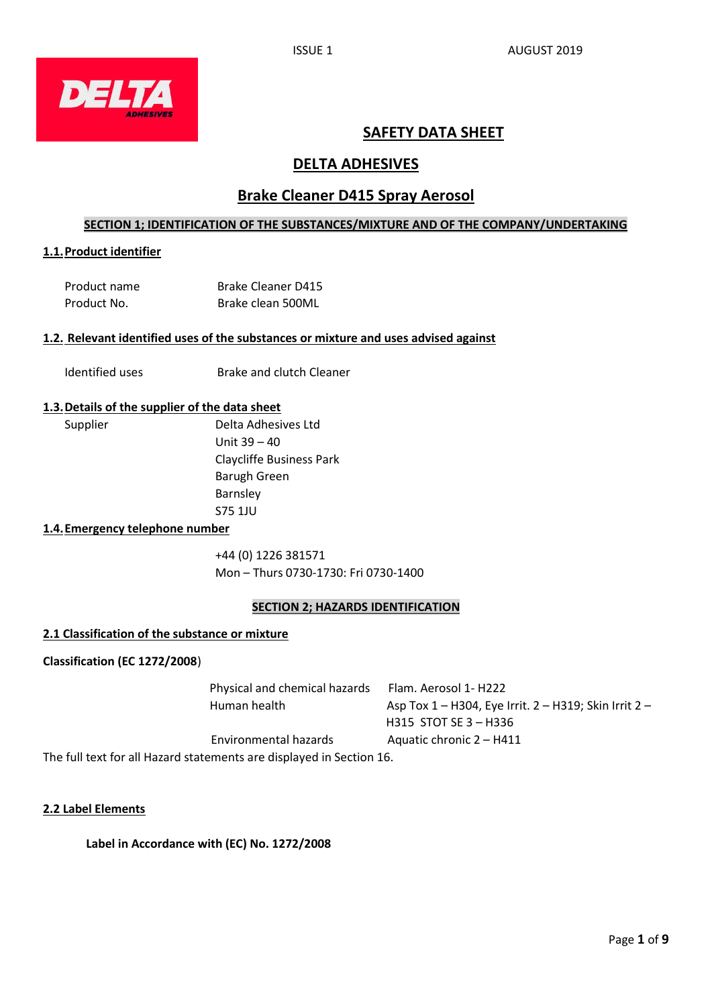

# **SAFETY DATA SHEET**

# **DELTA ADHESIVES**

# **Brake Cleaner D415 Spray Aerosol**

# **SECTION 1; IDENTIFICATION OF THE SUBSTANCES/MIXTURE AND OF THE COMPANY/UNDERTAKING**

### **1.1.Product identifier**

| Product name | <b>Brake Cleaner D415</b> |
|--------------|---------------------------|
| Product No.  | Brake clean 500ML         |

#### **1.2. Relevant identified uses of the substances or mixture and uses advised against**

Identified uses **Brake and clutch Cleaner** 

### **1.3.Details of the supplier of the data sheet**

Supplier Delta Adhesives Ltd Unit 39 – 40 Claycliffe Business Park Barugh Green Barnsley S75 1JU

## **1.4.Emergency telephone number**

+44 (0) 1226 381571 Mon – Thurs 0730-1730: Fri 0730-1400

### **SECTION 2; HAZARDS IDENTIFICATION**

### **2.1 Classification of the substance or mixture**

**Classification (EC 1272/2008**)

| Physical and chemical hazards | Flam. Aerosol 1- H222                                              |
|-------------------------------|--------------------------------------------------------------------|
| Human health                  | Asp Tox $1 - H304$ , Eye Irrit. $2 - H319$ ; Skin Irrit $2 - H319$ |
|                               | H315 STOT SE 3 – H336                                              |
| Environmental hazards         | Aquatic chronic 2 – H411                                           |
|                               |                                                                    |

The full text for all Hazard statements are displayed in Section 16.

# **2.2 Label Elements**

**Label in Accordance with (EC) No. 1272/2008**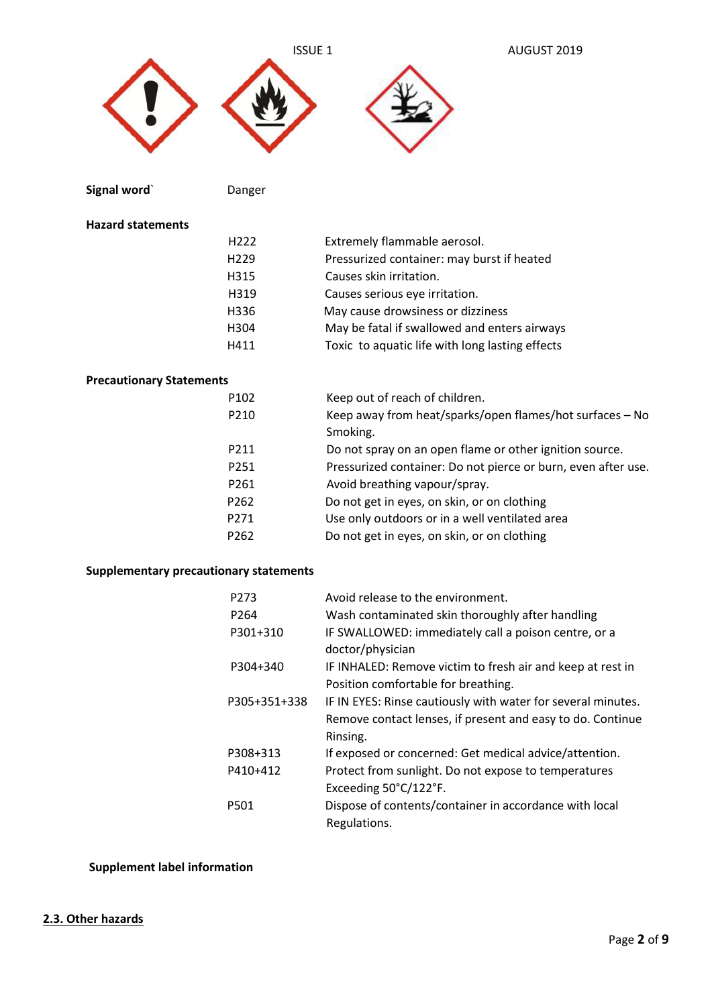



**Signal word**Canger
Board **Danger**  $\sqrt{ }$ 

### **Hazard statements**

| H <sub>222</sub> | Extremely flammable aerosol.                    |
|------------------|-------------------------------------------------|
| H <sub>229</sub> | Pressurized container: may burst if heated      |
| H315             | Causes skin irritation.                         |
| H319             | Causes serious eye irritation.                  |
| H336             | May cause drowsiness or dizziness               |
| H <sub>304</sub> | May be fatal if swallowed and enters airways    |
| H411             | Toxic to aquatic life with long lasting effects |

# **Precautionary Statements**

| P <sub>102</sub> | Keep out of reach of children.                                |
|------------------|---------------------------------------------------------------|
| P210             | Keep away from heat/sparks/open flames/hot surfaces - No      |
|                  | Smoking.                                                      |
| P211             | Do not spray on an open flame or other ignition source.       |
| P251             | Pressurized container: Do not pierce or burn, even after use. |
| P <sub>261</sub> | Avoid breathing vapour/spray.                                 |
| P <sub>262</sub> | Do not get in eyes, on skin, or on clothing                   |
| P271             | Use only outdoors or in a well ventilated area                |
| P <sub>262</sub> | Do not get in eyes, on skin, or on clothing                   |
|                  |                                                               |

# **Supplementary precautionary statements**

| P273             | Avoid release to the environment.                            |
|------------------|--------------------------------------------------------------|
| P <sub>264</sub> | Wash contaminated skin thoroughly after handling             |
| P301+310         | IF SWALLOWED: immediately call a poison centre, or a         |
|                  | doctor/physician                                             |
| P304+340         | IF INHALED: Remove victim to fresh air and keep at rest in   |
|                  | Position comfortable for breathing.                          |
| P305+351+338     | IF IN EYES: Rinse cautiously with water for several minutes. |
|                  | Remove contact lenses, if present and easy to do. Continue   |
|                  | Rinsing.                                                     |
| P308+313         | If exposed or concerned: Get medical advice/attention.       |
| P410+412         | Protect from sunlight. Do not expose to temperatures         |
|                  | Exceeding 50°C/122°F.                                        |
| P501             | Dispose of contents/container in accordance with local       |
|                  | Regulations.                                                 |
|                  |                                                              |

# **Supplement label information**

# **2.3. Other hazards**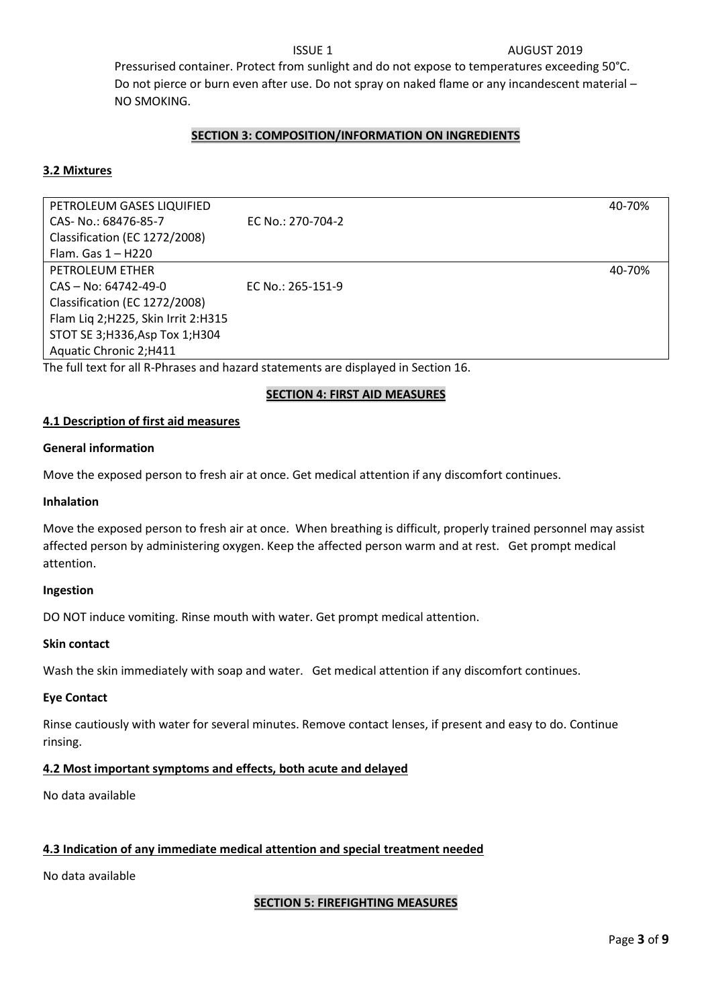#### **ISSUE 1** AUGUST 2019

 Pressurised container. Protect from sunlight and do not expose to temperatures exceeding 50°C. Do not pierce or burn even after use. Do not spray on naked flame or any incandescent material – NO SMOKING.

# **SECTION 3: COMPOSITION/INFORMATION ON INGREDIENTS**

#### **3.2 Mixtures**

PETROLEUM GASES LIQUIFIED 40-70% CAS- No.: 68476-85-7 EC No.: 270-704-2 Classification (EC 1272/2008) Flam. Gas 1 – H220 PETROLEUM ETHER 40-70% CAS – No: 64742-49-0 EC No.: 265-151-9 Classification (EC 1272/2008) Flam Liq 2;H225, Skin Irrit 2:H315 STOT SE 3;H336,Asp Tox 1;H304 Aquatic Chronic 2;H411

The full text for all R-Phrases and hazard statements are displayed in Section 16.

### **SECTION 4: FIRST AID MEASURES**

#### **4.1 Description of first aid measures**

#### **General information**

Move the exposed person to fresh air at once. Get medical attention if any discomfort continues.

#### **Inhalation**

Move the exposed person to fresh air at once. When breathing is difficult, properly trained personnel may assist affected person by administering oxygen. Keep the affected person warm and at rest. Get prompt medical attention.

#### **Ingestion**

DO NOT induce vomiting. Rinse mouth with water. Get prompt medical attention.

#### **Skin contact**

Wash the skin immediately with soap and water. Get medical attention if any discomfort continues.

#### **Eye Contact**

Rinse cautiously with water for several minutes. Remove contact lenses, if present and easy to do. Continue rinsing.

#### **4.2 Most important symptoms and effects, both acute and delayed**

No data available

### **4.3 Indication of any immediate medical attention and special treatment needed**

No data available

### **SECTION 5: FIREFIGHTING MEASURES**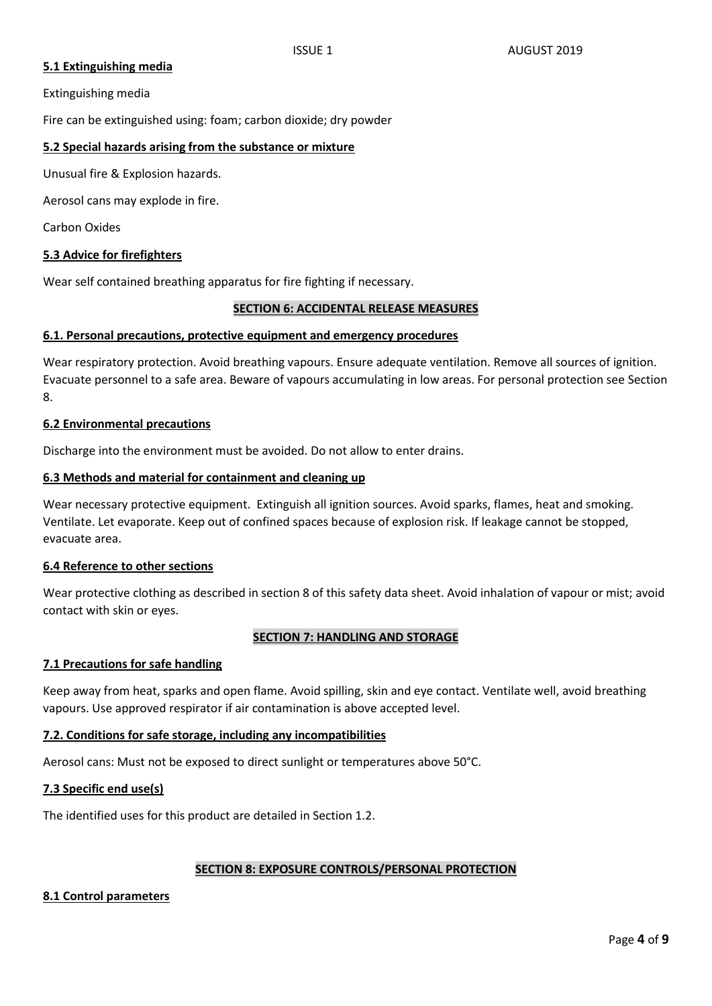# **5.1 Extinguishing media**

Extinguishing media

Fire can be extinguished using: foam; carbon dioxide; dry powder

## **5.2 Special hazards arising from the substance or mixture**

Unusual fire & Explosion hazards.

Aerosol cans may explode in fire.

Carbon Oxides

# **5.3 Advice for firefighters**

Wear self contained breathing apparatus for fire fighting if necessary.

### **SECTION 6: ACCIDENTAL RELEASE MEASURES**

### **6.1. Personal precautions, protective equipment and emergency procedures**

Wear respiratory protection. Avoid breathing vapours. Ensure adequate ventilation. Remove all sources of ignition. Evacuate personnel to a safe area. Beware of vapours accumulating in low areas. For personal protection see Section 8.

### **6.2 Environmental precautions**

Discharge into the environment must be avoided. Do not allow to enter drains.

### **6.3 Methods and material for containment and cleaning up**

Wear necessary protective equipment. Extinguish all ignition sources. Avoid sparks, flames, heat and smoking. Ventilate. Let evaporate. Keep out of confined spaces because of explosion risk. If leakage cannot be stopped, evacuate area.

### **6.4 Reference to other sections**

Wear protective clothing as described in section 8 of this safety data sheet. Avoid inhalation of vapour or mist; avoid contact with skin or eyes.

### **SECTION 7: HANDLING AND STORAGE**

### **7.1 Precautions for safe handling**

Keep away from heat, sparks and open flame. Avoid spilling, skin and eye contact. Ventilate well, avoid breathing vapours. Use approved respirator if air contamination is above accepted level.

### **7.2. Conditions for safe storage, including any incompatibilities**

Aerosol cans: Must not be exposed to direct sunlight or temperatures above 50°C.

### **7.3 Specific end use(s)**

The identified uses for this product are detailed in Section 1.2.

### **SECTION 8: EXPOSURE CONTROLS/PERSONAL PROTECTION**

### **8.1 Control parameters**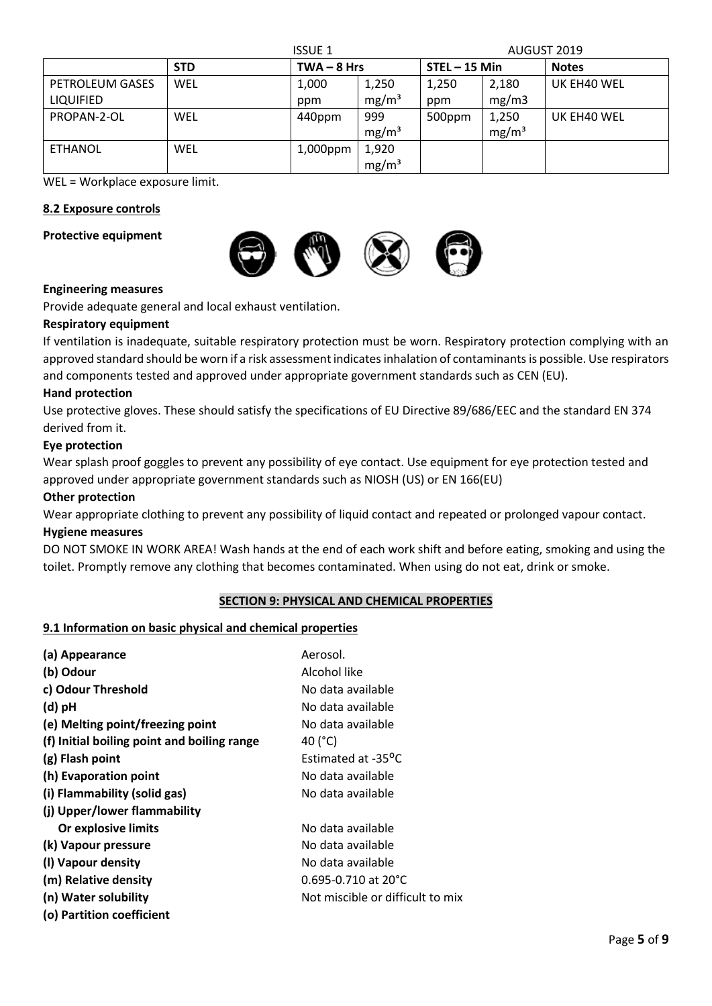| <b>ISSUE 1</b>   |            |               |                   | AUGUST 2019     |                   |              |  |
|------------------|------------|---------------|-------------------|-----------------|-------------------|--------------|--|
|                  | <b>STD</b> | $TWA - 8 Hrs$ |                   | $STEL - 15 Min$ |                   | <b>Notes</b> |  |
| PETROLEUM GASES  | WEL        | 1,000         | 1,250             | 1,250           | 2,180             | UK EH40 WEL  |  |
| <b>LIQUIFIED</b> |            | ppm           | mg/m <sup>3</sup> | ppm             | mg/m3             |              |  |
| PROPAN-2-OL      | WEL        | 440ppm        | 999               | 500ppm          | 1,250             | UK EH40 WEL  |  |
|                  |            |               | mg/m <sup>3</sup> |                 | mg/m <sup>3</sup> |              |  |
| <b>ETHANOL</b>   | WEL        | 1,000ppm      | 1,920             |                 |                   |              |  |
|                  |            |               | mg/m <sup>3</sup> |                 |                   |              |  |

WEL = Workplace exposure limit.

# **8.2 Exposure controls**

**Protective equipment**



### **Engineering measures**

Provide adequate general and local exhaust ventilation.

### **Respiratory equipment**

If ventilation is inadequate, suitable respiratory protection must be worn. Respiratory protection complying with an approved standard should be worn if a risk assessment indicates inhalation of contaminants is possible. Use respirators and components tested and approved under appropriate government standards such as CEN (EU).

#### **Hand protection**

Use protective gloves. These should satisfy the specifications of EU Directive 89/686/EEC and the standard EN 374 derived from it.

#### **Eye protection**

Wear splash proof goggles to prevent any possibility of eye contact. Use equipment for eye protection tested and approved under appropriate government standards such as NIOSH (US) or EN 166(EU)

#### **Other protection**

Wear appropriate clothing to prevent any possibility of liquid contact and repeated or prolonged vapour contact. **Hygiene measures**

DO NOT SMOKE IN WORK AREA! Wash hands at the end of each work shift and before eating, smoking and using the toilet. Promptly remove any clothing that becomes contaminated. When using do not eat, drink or smoke.

### **SECTION 9: PHYSICAL AND CHEMICAL PROPERTIES**

### **9.1 Information on basic physical and chemical properties**

| (a) Appearance                              | Aerosol.                           |
|---------------------------------------------|------------------------------------|
| (b) Odour                                   | Alcohol like                       |
| c) Odour Threshold                          | No data available                  |
| (d) pH                                      | No data available                  |
| (e) Melting point/freezing point            | No data available                  |
| (f) Initial boiling point and boiling range | 40 (°C)                            |
| (g) Flash point                             | Estimated at -35 <sup>o</sup> C    |
| (h) Evaporation point                       | No data available                  |
| (i) Flammability (solid gas)                | No data available                  |
| (j) Upper/lower flammability                |                                    |
| Or explosive limits                         | No data available                  |
| (k) Vapour pressure                         | No data available                  |
| (I) Vapour density                          | No data available                  |
| (m) Relative density                        | $0.695 - 0.710$ at 20 $^{\circ}$ C |
| (n) Water solubility                        | Not miscible or difficult to mix   |
| (o) Partition coefficient                   |                                    |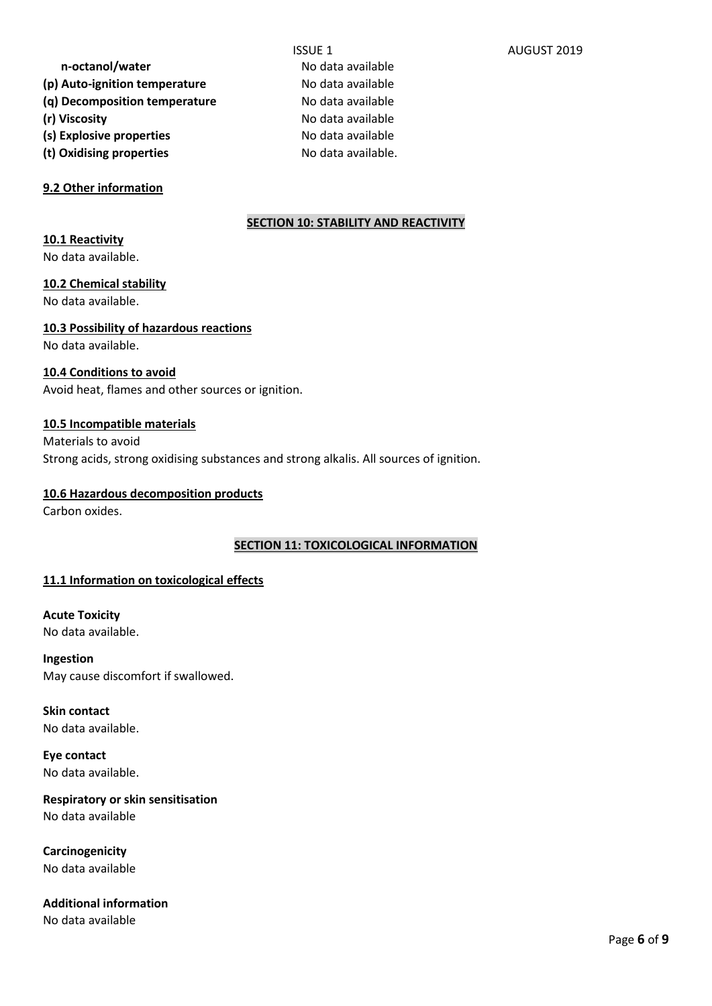**n-octanol/water** No data available

- (p) Auto-ignition temperature **No data available**
- **(q) Decomposition temperature** No data available
- **(r) Viscosity No data available**
- (s) Explosive properties and a No data available
- **(t) Oxidising properties** No data available.

# **9.2 Other information**

# **SECTION 10: STABILITY AND REACTIVITY**

# **10.1 Reactivity**

No data available.

# **10.2 Chemical stability**

No data available.

# **10.3 Possibility of hazardous reactions** No data available.

# **10.4 Conditions to avoid**

Avoid heat, flames and other sources or ignition.

# **10.5 Incompatible materials**

Materials to avoid Strong acids, strong oxidising substances and strong alkalis. All sources of ignition.

### **10.6 Hazardous decomposition products**

Carbon oxides.

# **SECTION 11: TOXICOLOGICAL INFORMATION**

# **11.1 Information on toxicological effects**

**Acute Toxicity** No data available.

**Ingestion**  May cause discomfort if swallowed.

**Skin contact**  No data available.

**Eye contact** No data available.

**Respiratory or skin sensitisation** No data available

**Carcinogenicity** No data available

**Additional information** No data available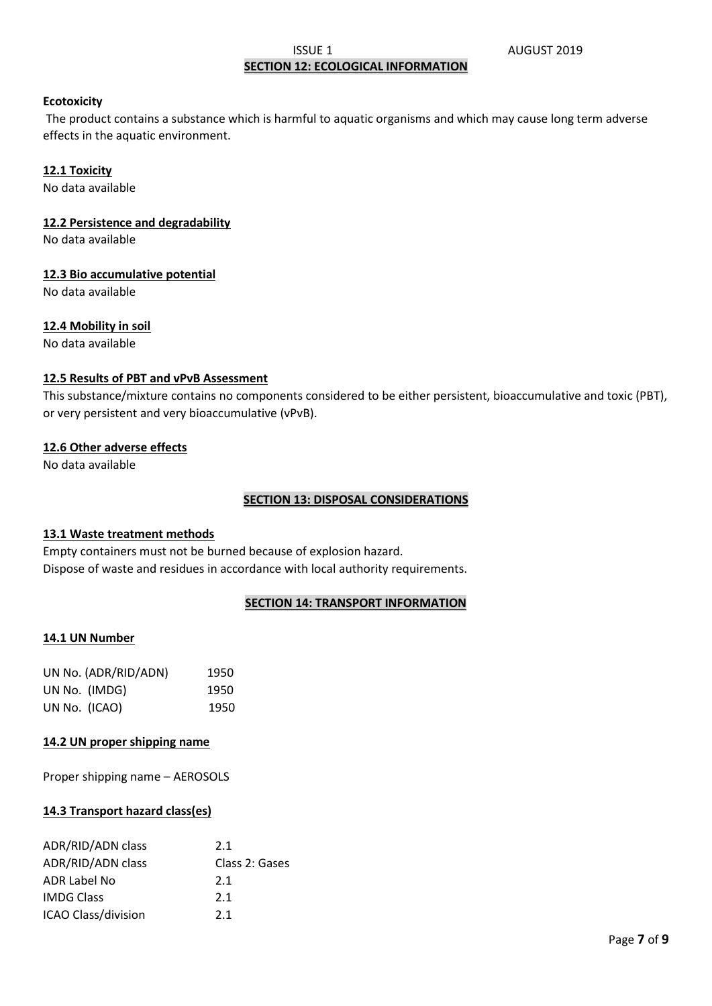### **ISSUE 1** AUGUST 2019 **SECTION 12: ECOLOGICAL INFORMATION**

#### **Ecotoxicity**

The product contains a substance which is harmful to aquatic organisms and which may cause long term adverse effects in the aquatic environment.

### **12.1 Toxicity**

No data available

### **12.2 Persistence and degradability**

No data available

### **12.3 Bio accumulative potential**

No data available

### **12.4 Mobility in soil**

No data available

### **12.5 Results of PBT and vPvB Assessment**

This substance/mixture contains no components considered to be either persistent, bioaccumulative and toxic (PBT), or very persistent and very bioaccumulative (vPvB).

### **12.6 Other adverse effects**

No data available

#### **SECTION 13: DISPOSAL CONSIDERATIONS**

### **13.1 Waste treatment methods**

Empty containers must not be burned because of explosion hazard. Dispose of waste and residues in accordance with local authority requirements.

### **SECTION 14: TRANSPORT INFORMATION**

#### **14.1 UN Number**

| UN No. (ADR/RID/ADN) | 1950 |
|----------------------|------|
| UN No. (IMDG)        | 1950 |
| UN No. (ICAO)        | 1950 |

### **14.2 UN proper shipping name**

Proper shipping name – AEROSOLS

### **14.3 Transport hazard class(es)**

| ADR/RID/ADN class          | 2.1            |
|----------------------------|----------------|
| ADR/RID/ADN class          | Class 2: Gases |
| ADR Label No               | 2.1            |
| <b>IMDG Class</b>          | 2.1            |
| <b>ICAO Class/division</b> | 2.1            |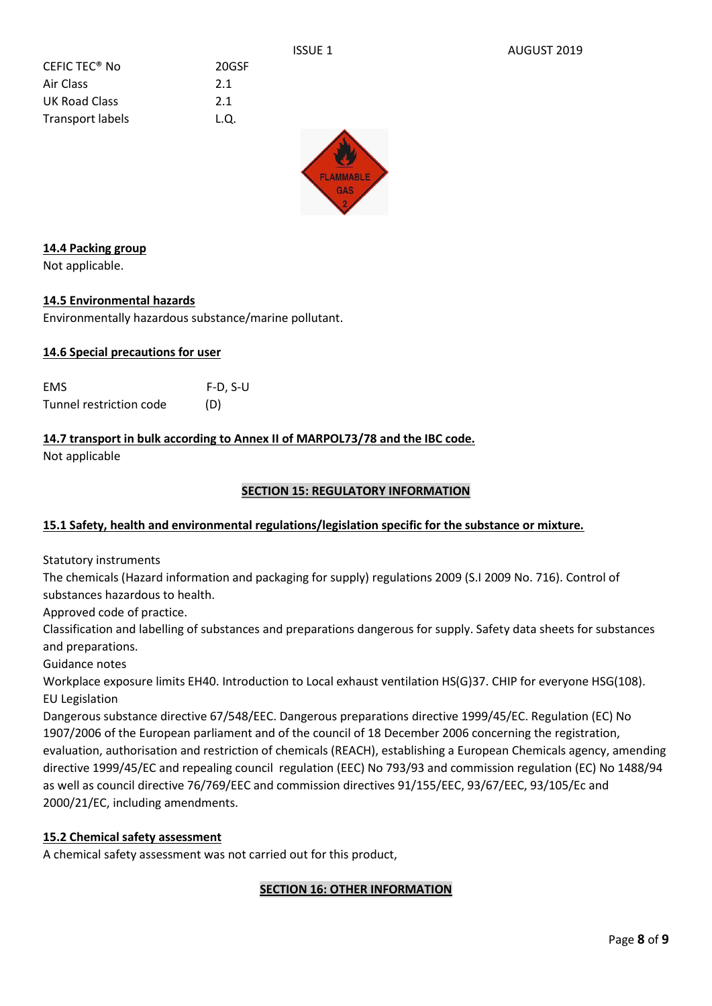20GSF

| CEFIC TEC <sup>®</sup> No | 20G  |
|---------------------------|------|
| Air Class                 | 2.1  |
| UK Road Class             | 2.1  |
| <b>Transport labels</b>   | L.Q. |



# **14.4 Packing group**

Not applicable.

# **14.5 Environmental hazards**

Environmentally hazardous substance/marine pollutant.

# **14.6 Special precautions for user**

| <b>EMS</b>              | $F-D, S-U$ |
|-------------------------|------------|
| Tunnel restriction code | (D)        |

# **14.7 transport in bulk according to Annex II of MARPOL73/78 and the IBC code.**

Not applicable

# **SECTION 15: REGULATORY INFORMATION**

### **15.1 Safety, health and environmental regulations/legislation specific for the substance or mixture.**

Statutory instruments

The chemicals (Hazard information and packaging for supply) regulations 2009 (S.I 2009 No. 716). Control of substances hazardous to health.

Approved code of practice.

Classification and labelling of substances and preparations dangerous for supply. Safety data sheets for substances and preparations.

Guidance notes

Workplace exposure limits EH40. Introduction to Local exhaust ventilation HS(G)37. CHIP for everyone HSG(108). EU Legislation

Dangerous substance directive 67/548/EEC. Dangerous preparations directive 1999/45/EC. Regulation (EC) No 1907/2006 of the European parliament and of the council of 18 December 2006 concerning the registration, evaluation, authorisation and restriction of chemicals (REACH), establishing a European Chemicals agency, amending directive 1999/45/EC and repealing council regulation (EEC) No 793/93 and commission regulation (EC) No 1488/94 as well as council directive 76/769/EEC and commission directives 91/155/EEC, 93/67/EEC, 93/105/Ec and 2000/21/EC, including amendments.

### **15.2 Chemical safety assessment**

A chemical safety assessment was not carried out for this product,

# **SECTION 16: OTHER INFORMATION**